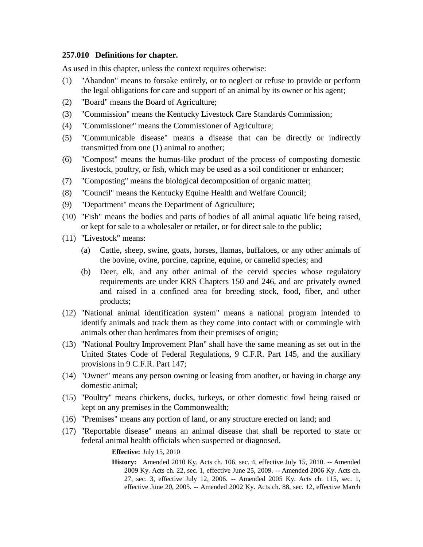## **257.010 Definitions for chapter.**

As used in this chapter, unless the context requires otherwise:

- (1) "Abandon" means to forsake entirely, or to neglect or refuse to provide or perform the legal obligations for care and support of an animal by its owner or his agent;
- (2) "Board" means the Board of Agriculture;
- (3) "Commission" means the Kentucky Livestock Care Standards Commission;
- (4) "Commissioner" means the Commissioner of Agriculture;
- (5) "Communicable disease" means a disease that can be directly or indirectly transmitted from one (1) animal to another;
- (6) "Compost" means the humus-like product of the process of composting domestic livestock, poultry, or fish, which may be used as a soil conditioner or enhancer;
- (7) "Composting" means the biological decomposition of organic matter;
- (8) "Council" means the Kentucky Equine Health and Welfare Council;
- (9) "Department" means the Department of Agriculture;
- (10) "Fish" means the bodies and parts of bodies of all animal aquatic life being raised, or kept for sale to a wholesaler or retailer, or for direct sale to the public;
- (11) "Livestock" means:
	- (a) Cattle, sheep, swine, goats, horses, llamas, buffaloes, or any other animals of the bovine, ovine, porcine, caprine, equine, or camelid species; and
	- (b) Deer, elk, and any other animal of the cervid species whose regulatory requirements are under KRS Chapters 150 and 246, and are privately owned and raised in a confined area for breeding stock, food, fiber, and other products;
- (12) "National animal identification system" means a national program intended to identify animals and track them as they come into contact with or commingle with animals other than herdmates from their premises of origin;
- (13) "National Poultry Improvement Plan" shall have the same meaning as set out in the United States Code of Federal Regulations, 9 C.F.R. Part 145, and the auxiliary provisions in 9 C.F.R. Part 147;
- (14) "Owner" means any person owning or leasing from another, or having in charge any domestic animal;
- (15) "Poultry" means chickens, ducks, turkeys, or other domestic fowl being raised or kept on any premises in the Commonwealth;
- (16) "Premises" means any portion of land, or any structure erected on land; and
- (17) "Reportable disease" means an animal disease that shall be reported to state or federal animal health officials when suspected or diagnosed.

**Effective:** July 15, 2010

**History:** Amended 2010 Ky. Acts ch. 106, sec. 4, effective July 15, 2010. -- Amended 2009 Ky. Acts ch. 22, sec. 1, effective June 25, 2009. -- Amended 2006 Ky. Acts ch. 27, sec. 3, effective July 12, 2006. -- Amended 2005 Ky. Acts ch. 115, sec. 1, effective June 20, 2005. -- Amended 2002 Ky. Acts ch. 88, sec. 12, effective March